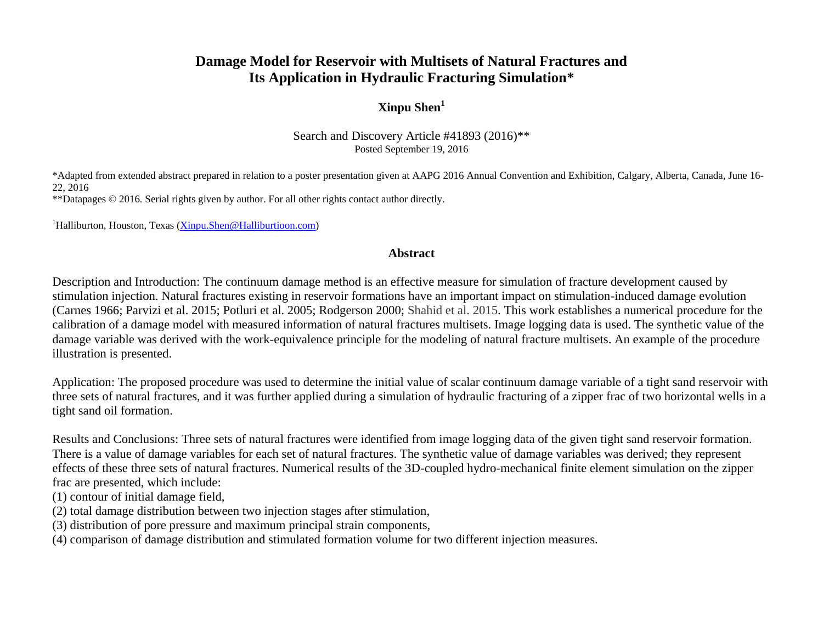# **Damage Model for Reservoir with Multisets of Natural Fractures and Its Application in Hydraulic Fracturing Simulation\***

## **Xinpu Shen<sup>1</sup>**

Search and Discovery Article #41893 (2016)\*\* Posted September 19, 2016

\*Adapted from extended abstract prepared in relation to a poster presentation given at AAPG 2016 Annual Convention and Exhibition, Calgary, Alberta, Canada, June 16- 22, 2016

\*\*Datapages © 2016. Serial rights given by author. For all other rights contact author directly.

<sup>1</sup>Halliburton, Houston, Texas [\(Xinpu.Shen@Halliburtioon.com\)](mailto:Xinpu.Shen@Halliburtioon.com)

#### **Abstract**

Description and Introduction: The continuum damage method is an effective measure for simulation of fracture development caused by stimulation injection. Natural fractures existing in reservoir formations have an important impact on stimulation-induced damage evolution (Carnes 1966; Parvizi et al. 2015; Potluri et al. 2005; Rodgerson 2000; Shahid et al. 2015. This work establishes a numerical procedure for the calibration of a damage model with measured information of natural fractures multisets. Image logging data is used. The synthetic value of the damage variable was derived with the work-equivalence principle for the modeling of natural fracture multisets. An example of the procedure illustration is presented.

Application: The proposed procedure was used to determine the initial value of scalar continuum damage variable of a tight sand reservoir with three sets of natural fractures, and it was further applied during a simulation of hydraulic fracturing of a zipper frac of two horizontal wells in a tight sand oil formation.

Results and Conclusions: Three sets of natural fractures were identified from image logging data of the given tight sand reservoir formation. There is a value of damage variables for each set of natural fractures. The synthetic value of damage variables was derived; they represent effects of these three sets of natural fractures. Numerical results of the 3D-coupled hydro-mechanical finite element simulation on the zipper frac are presented, which include:

- (1) contour of initial damage field,
- (2) total damage distribution between two injection stages after stimulation,
- (3) distribution of pore pressure and maximum principal strain components,

(4) comparison of damage distribution and stimulated formation volume for two different injection measures.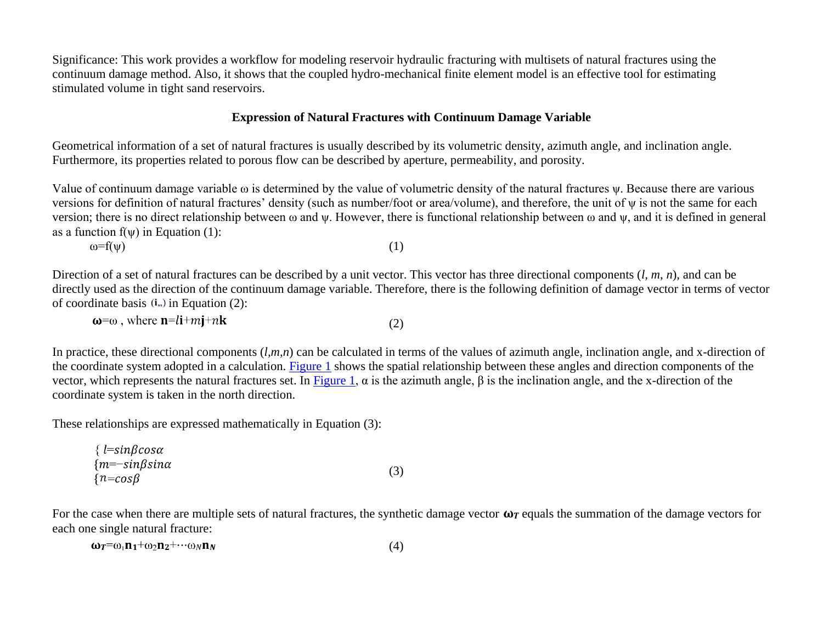Significance: This work provides a workflow for modeling reservoir hydraulic fracturing with multisets of natural fractures using the continuum damage method. Also, it shows that the coupled hydro-mechanical finite element model is an effective tool for estimating stimulated volume in tight sand reservoirs.

#### **Expression of Natural Fractures with Continuum Damage Variable**

Geometrical information of a set of natural fractures is usually described by its volumetric density, azimuth angle, and inclination angle. Furthermore, its properties related to porous flow can be described by aperture, permeability, and porosity.

Value of continuum damage variable ω is determined by the value of volumetric density of the natural fractures ψ. Because there are various versions for definition of natural fractures' density (such as number/foot or area/volume), and therefore, the unit of ψ is not the same for each version; there is no direct relationship between ω and ψ. However, there is functional relationship between ω and ψ, and it is defined in general as a function  $f(w)$  in Equation (1):

 $\omega = f(\psi)$  (1)

Direction of a set of natural fractures can be described by a unit vector. This vector has three directional components (*l, m, n*), and can be directly used as the direction of the continuum damage variable. Therefore, there is the following definition of damage vector in terms of vector of coordinate basis  $(i, j)$  in Equation (2):

 $\omega = \omega$ , where  $\mathbf{n} = l\mathbf{i} + m\mathbf{j} + n\mathbf{k}$ (2)

In practice, these directional components  $(l,m,n)$  can be calculated in terms of the values of azimuth angle, inclination angle, and x-direction of the coordinate system adopted in a calculation. [Figure 1](#page-4-0) shows the spatial relationship between these angles and direction components of the vector, which represents the natural fractures set. In [Figure 1,](#page-4-0) α is the azimuth angle,  $β$  is the inclination angle, and the x-direction of the coordinate system is taken in the north direction.

These relationships are expressed mathematically in Equation (3):

| $\{$ l=sin $\beta$ cosa   |     |
|---------------------------|-----|
| ${m=-sin\beta sin\alpha}$ | (3) |
| ${n = cos\beta}$          |     |

For the case when there are multiple sets of natural fractures, the synthetic damage vector  $\omega r$  equals the summation of the damage vectors for each one single natural fracture:

$$
\omega_T = \omega_1 n_1 + \omega_2 n_2 + \cdots + \omega_N n_N \tag{4}
$$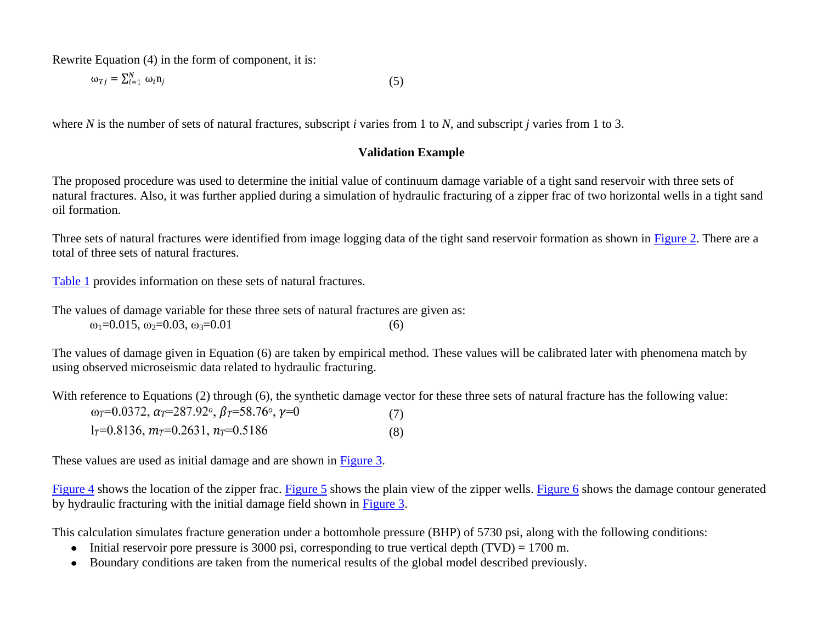Rewrite Equation (4) in the form of component, it is:

$$
\omega_{Tj} = \sum_{i=1}^{N} \omega_i n_j \tag{5}
$$

where *N* is the number of sets of natural fractures, subscript *i* varies from 1 to *N*, and subscript *j* varies from 1 to 3.

#### **Validation Example**

The proposed procedure was used to determine the initial value of continuum damage variable of a tight sand reservoir with three sets of natural fractures. Also, it was further applied during a simulation of hydraulic fracturing of a zipper frac of two horizontal wells in a tight sand oil formation.

Three sets of natural fractures were identified from image logging data of the tight sand reservoir formation as shown in [Figure](#page-4-1) 2. There are a total of three sets of natural fractures.

[Table 1](#page-9-0) provides information on these sets of natural fractures.

The values of damage variable for these three sets of natural fractures are given as:  $\omega_1 = 0.015$ ,  $\omega_2 = 0.03$ ,  $\omega_3 = 0.01$  (6)

The values of damage given in Equation (6) are taken by empirical method. These values will be calibrated later with phenomena match by using observed microseismic data related to hydraulic fracturing.

With reference to Equations (2) through (6), the synthetic damage vector for these three sets of natural fracture has the following value:

| $\omega_T$ =0.0372, $\alpha_T$ =287.92 <sup>o</sup> , $\beta_T$ =58.76 <sup>o</sup> , $\gamma$ =0 | (7) |
|---------------------------------------------------------------------------------------------------|-----|
| $1_T=0.8136$ , $m_T=0.2631$ , $n_T=0.5186$                                                        | (8) |

These values are used as initial damage and are shown in **Figure 3.** 

[Figure](#page-6-0) 4 shows the location of the zipper frac. [Figure](#page-8-0) 5 shows the plain view of the zipper wells. Figure 6 shows the damage contour generated by hydraulic fracturing with the initial damage field shown in [Figure](#page-5-0) 3.

This calculation simulates fracture generation under a bottomhole pressure (BHP) of 5730 psi, along with the following conditions:

- Initial reservoir pore pressure is 3000 psi, corresponding to true vertical depth (TVD) = 1700 m.
- Boundary conditions are taken from the numerical results of the global model described previously.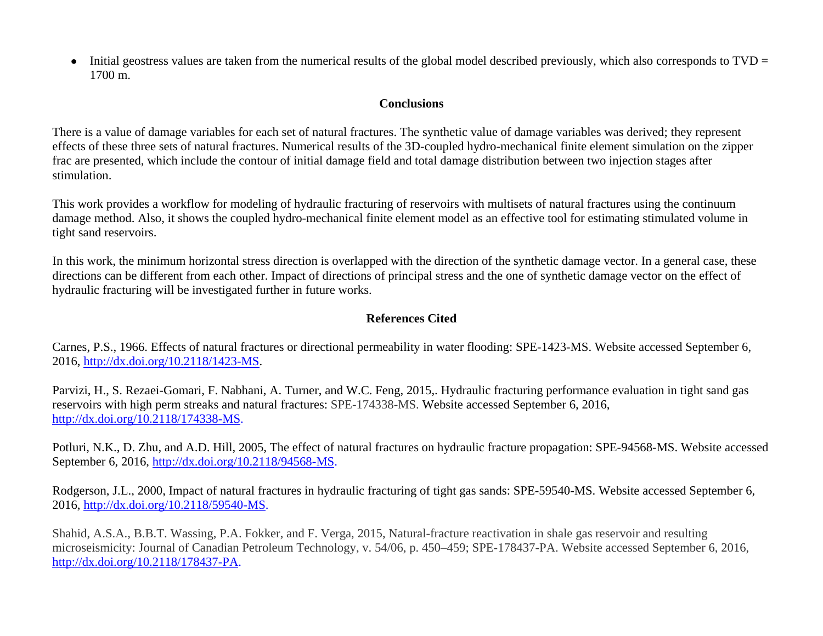$\bullet$  Initial geostress values are taken from the numerical results of the global model described previously, which also corresponds to TVD = 1700 m.

#### **Conclusions**

There is a value of damage variables for each set of natural fractures. The synthetic value of damage variables was derived; they represent effects of these three sets of natural fractures. Numerical results of the 3D-coupled hydro-mechanical finite element simulation on the zipper frac are presented, which include the contour of initial damage field and total damage distribution between two injection stages after stimulation.

This work provides a workflow for modeling of hydraulic fracturing of reservoirs with multisets of natural fractures using the continuum damage method. Also, it shows the coupled hydro-mechanical finite element model as an effective tool for estimating stimulated volume in tight sand reservoirs.

In this work, the minimum horizontal stress direction is overlapped with the direction of the synthetic damage vector. In a general case, these directions can be different from each other. Impact of directions of principal stress and the one of synthetic damage vector on the effect of hydraulic fracturing will be investigated further in future works.

### **References Cited**

Carnes, P.S., 1966. Effects of natural fractures or directional permeability in water flooding: SPE-1423-MS. Website accessed September 6, 2016, [http://dx.doi.org/10.2118/1423-MS.](http://dx.doi.org/10.2118/1423-MS)

Parvizi, H., S. Rezaei-Gomari, F. Nabhani, A. Turner, and W.C. Feng, 2015,. Hydraulic fracturing performance evaluation in tight sand gas reservoirs with high perm streaks and natural fractures: SPE-174338-MS. Website accessed September 6, 2016, [http://dx.doi.org/10.2118/174338-MS.](http://dx.doi.org/10.2118/174338-MS)

Potluri, N.K., D. Zhu, and A.D. Hill, 2005, The effect of natural fractures on hydraulic fracture propagation: SPE-94568-MS. Website accessed September 6, 2016, [http://dx.doi.org/10.2118/94568-MS.](http://dx.doi.org/10.2118/94568-MS)

Rodgerson, J.L., 2000, Impact of natural fractures in hydraulic fracturing of tight gas sands: SPE-59540-MS. Website accessed September 6, 2016, [http://dx.doi.org/10.2118/59540-MS.](http://dx.doi.org/10.2118/59540-MS)

Shahid, A.S.A., B.B.T. Wassing, P.A. Fokker, and F. Verga, 2015, Natural-fracture reactivation in shale gas reservoir and resulting microseismicity: Journal of Canadian Petroleum Technology, v. 54/06, p. 450–459; SPE-178437-PA. Website accessed September 6, 2016, [http://dx.doi.org/10.2118/178437-PA.](http://dx.doi.org/10.2118/178437-PA)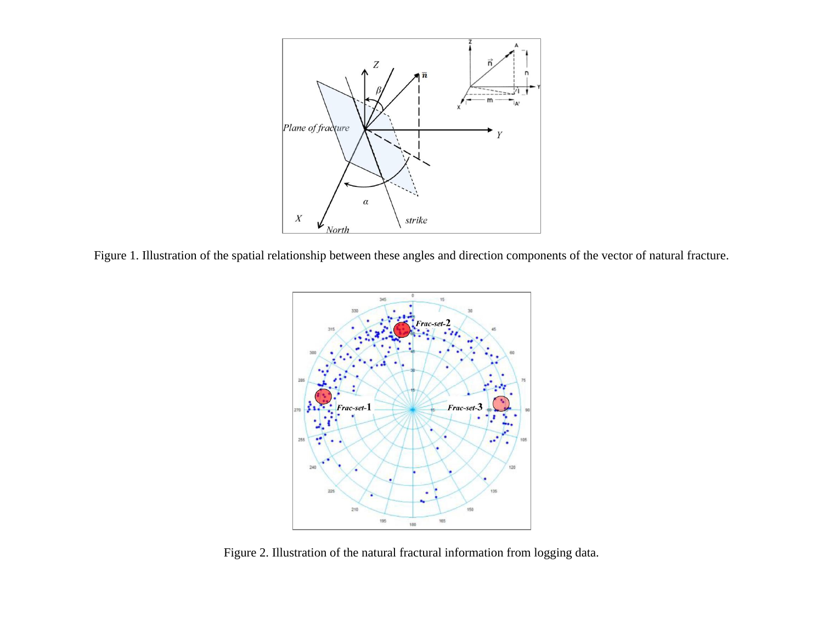

<span id="page-4-1"></span><span id="page-4-0"></span>Figure 1. Illustration of the spatial relationship between these angles and direction components of the vector of natural fracture.



Figure 2. Illustration of the natural fractural information from logging data.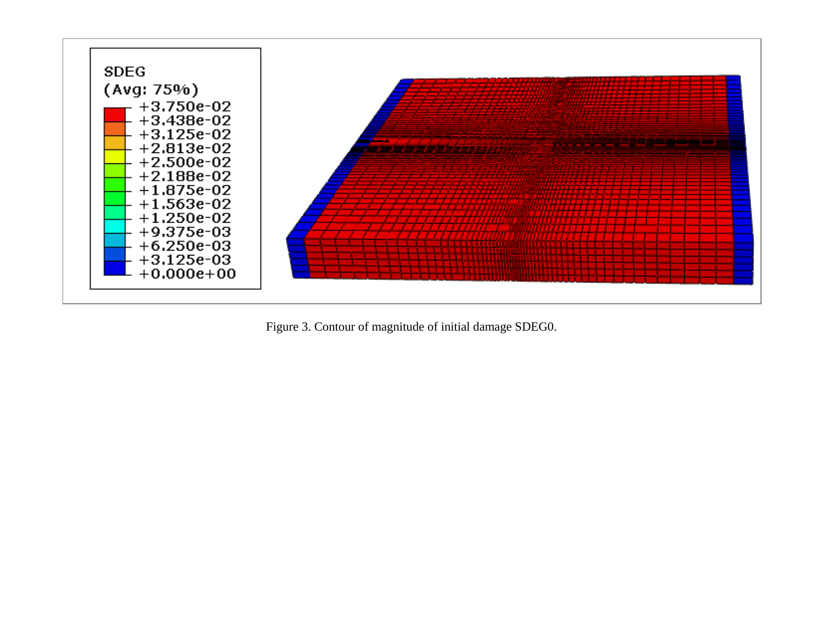<span id="page-5-0"></span>

Figure 3. Contour of magnitude of initial damage SDEG0.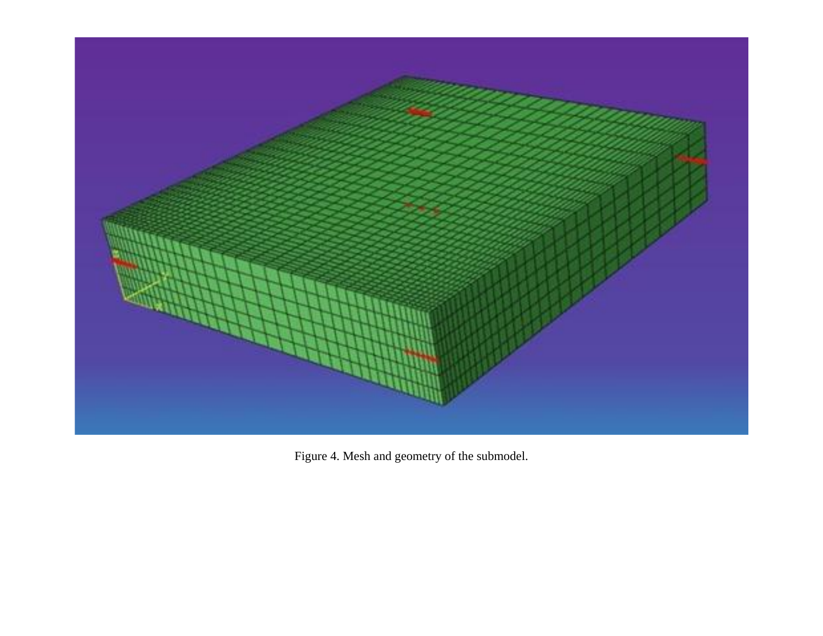<span id="page-6-0"></span>

Figure 4. Mesh and geometry of the submodel.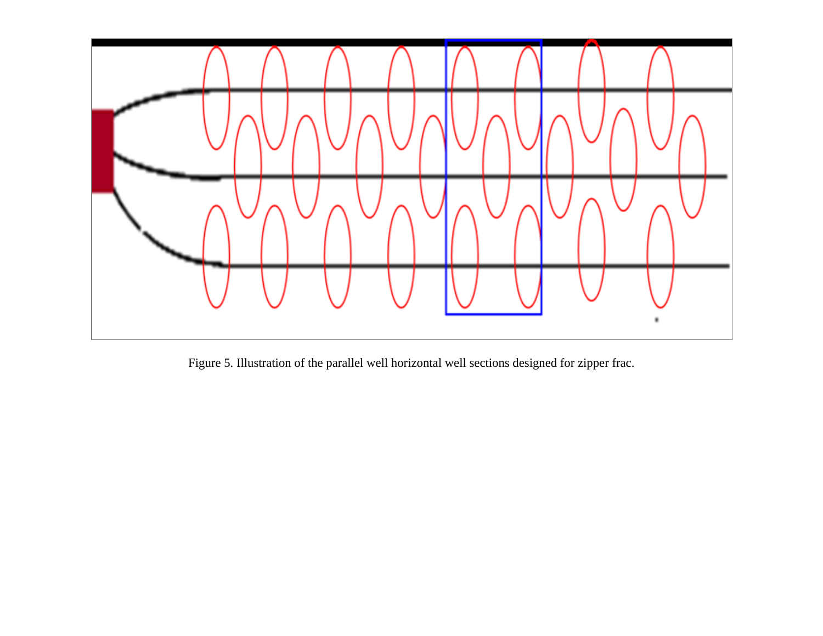<span id="page-7-0"></span>

Figure 5. Illustration of the parallel well horizontal well sections designed for zipper frac.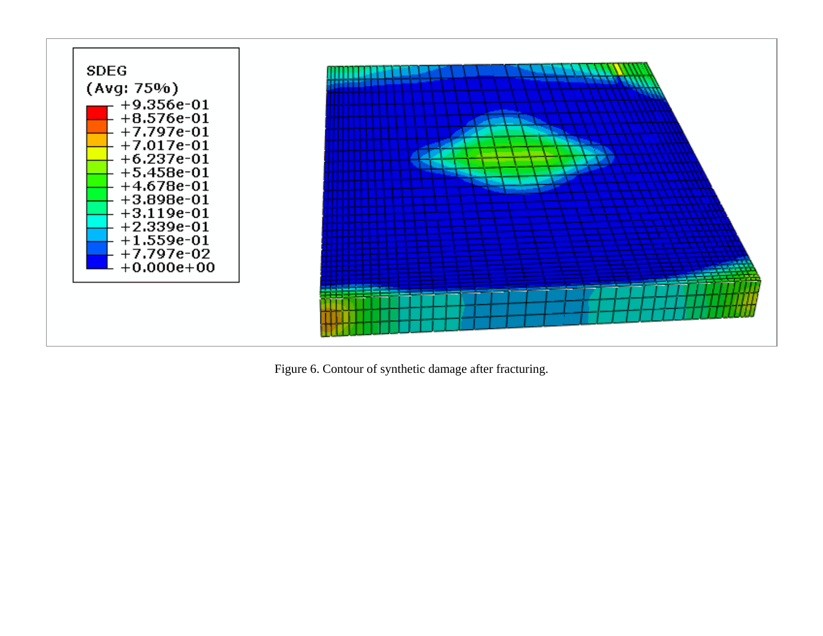<span id="page-8-0"></span>

Figure 6. Contour of synthetic damage after fracturing.